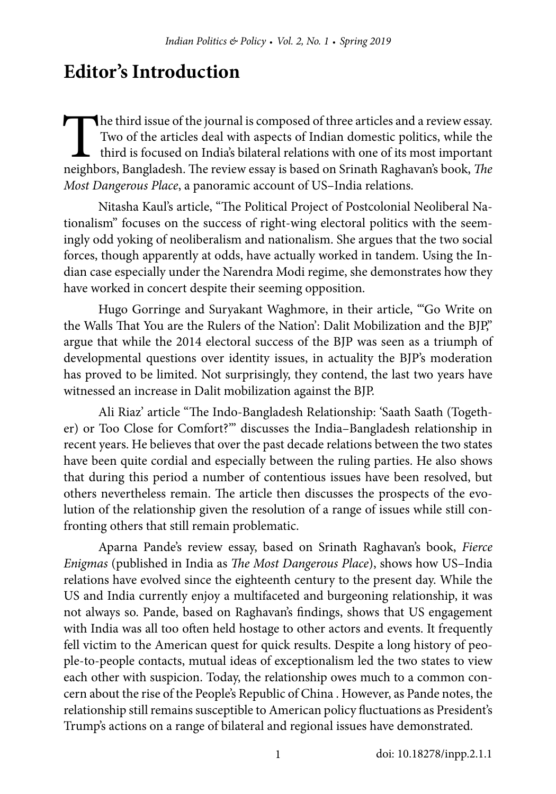## **Editor's Introduction**

The third issue of the journal is composed of three articles and a review essay.<br>Two of the articles deal with aspects of Indian domestic politics, while the third is focused on India's bilateral relations with one of its Two of the articles deal with aspects of Indian domestic politics, while the third is focused on India's bilateral relations with one of its most important neighbors, Bangladesh. The review essay is based on Srinath Raghavan's book, *The Most Dangerous Place*, a panoramic account of US–India relations.

Nitasha Kaul's article, "The Political Project of Postcolonial Neoliberal Nationalism" focuses on the success of right-wing electoral politics with the seemingly odd yoking of neoliberalism and nationalism. She argues that the two social forces, though apparently at odds, have actually worked in tandem. Using the Indian case especially under the Narendra Modi regime, she demonstrates how they have worked in concert despite their seeming opposition.

Hugo Gorringe and Suryakant Waghmore, in their article, "'Go Write on the Walls That You are the Rulers of the Nation': Dalit Mobilization and the BJP," argue that while the 2014 electoral success of the BJP was seen as a triumph of developmental questions over identity issues, in actuality the BJP's moderation has proved to be limited. Not surprisingly, they contend, the last two years have witnessed an increase in Dalit mobilization against the BJP.

Ali Riaz' article "The Indo-Bangladesh Relationship: 'Saath Saath (Together) or Too Close for Comfort?'" discusses the India–Bangladesh relationship in recent years. He believes that over the past decade relations between the two states have been quite cordial and especially between the ruling parties. He also shows that during this period a number of contentious issues have been resolved, but others nevertheless remain. The article then discusses the prospects of the evolution of the relationship given the resolution of a range of issues while still confronting others that still remain problematic.

Aparna Pande's review essay, based on Srinath Raghavan's book, *Fierce Enigmas* (published in India as *The Most Dangerous Place*), shows how US–India relations have evolved since the eighteenth century to the present day. While the US and India currently enjoy a multifaceted and burgeoning relationship, it was not always so. Pande, based on Raghavan's findings, shows that US engagement with India was all too often held hostage to other actors and events. It frequently fell victim to the American quest for quick results. Despite a long history of people-to-people contacts, mutual ideas of exceptionalism led the two states to view each other with suspicion. Today, the relationship owes much to a common concern about the rise of the People's Republic of China . However, as Pande notes, the relationship still remains susceptible to American policy fluctuations as President's Trump's actions on a range of bilateral and regional issues have demonstrated.